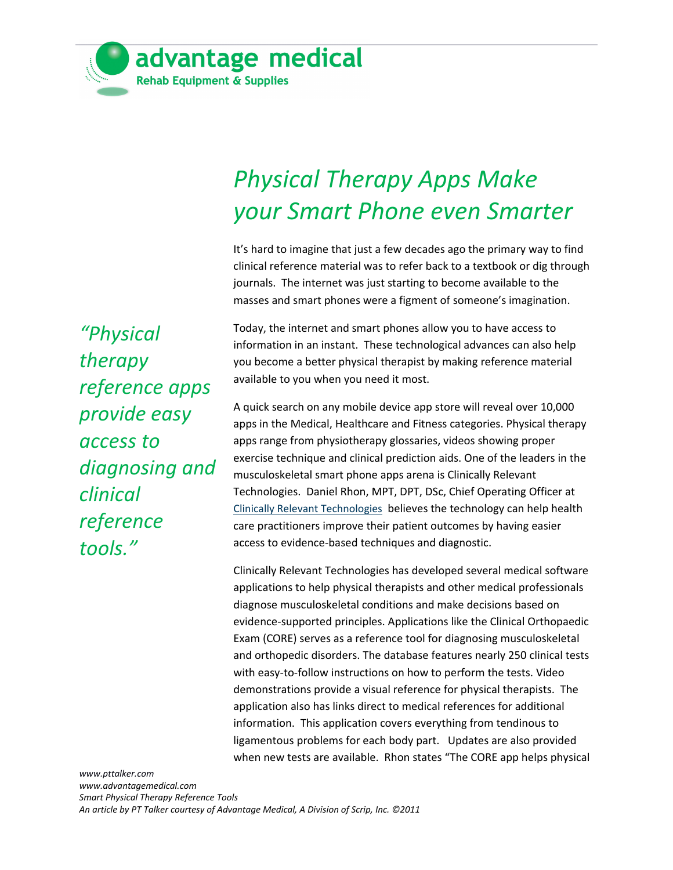

## *Physical Therapy Apps Make your Smart Phone even Smarter*

It's hard to imagine that just a few decades ago the primary way to find clinical reference material was to refer back to a textbook or dig through journals. The internet was just starting to become available to the masses and smart phones were a figment of someone's imagination.

Today, the internet and smart phones allow you to have access to information in an instant. These technological advances can also help you become a better physical therapist by making reference material available to you when you need it most.

A quick search on any mobile device app store will reveal over 10,000 apps in the Medical, Healthcare and Fitness categories. Physical therapy apps range from physiotherapy glossaries, videos showing proper exercise technique and clinical prediction aids. One of the leaders in the musculoskeletal smart phone apps arena is Clinically Relevant Technologies. Daniel Rhon, MPT, DPT, DSc, Chief Operating Officer at [Clinically Relevant Technologies](http://www.clinicallyrelevant.com/) believes the technology can help health care practitioners improve their patient outcomes by having easier access to evidence-based techniques and diagnostic.

Clinically Relevant Technologies has developed several medical software applications to help physical therapists and other medical professionals diagnose musculoskeletal conditions and make decisions based on evidence-supported principles. Applications like the Clinical Orthopaedic Exam (CORE) serves as a reference tool for diagnosing musculoskeletal and orthopedic disorders. The database features nearly 250 clinical tests with easy-to-follow instructions on how to perform the tests. Video demonstrations provide a visual reference for physical therapists. The application also has links direct to medical references for additional information. This application covers everything from tendinous to ligamentous problems for each body part. Updates are also provided when new tests are available. Rhon states "The CORE app helps physical

*[www.pttalker.com](http://www.pttalker.com/) www.advantagemedical.com Smart Physical Therapy Reference Tools An article by PT Talker courtesy of Advantage Medical, A Division of Scrip, Inc. ©2011*

*"Physical therapy reference apps provide easy access to diagnosing and clinical reference tools."*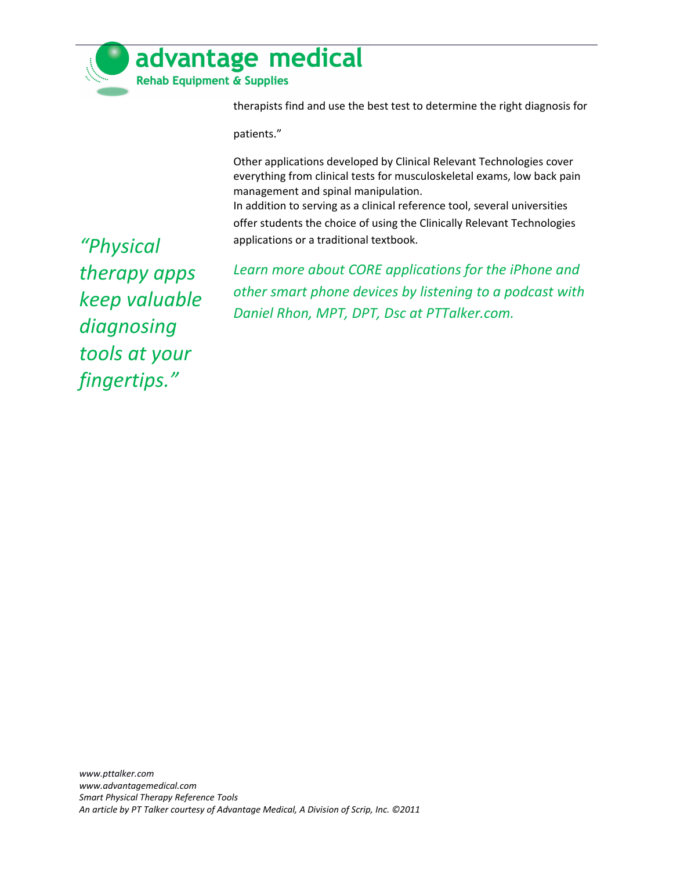

therapists find and use the best test to determine the right diagnosis for

patients."

Other applications developed by Clinical Relevant Technologies cover everything from clinical tests for musculoskeletal exams, low back pain management and spinal manipulation.

In addition to serving as a clinical reference tool, several universities offer students the choice of using the Clinically Relevant Technologies applications or a traditional textbook.

*"Physical therapy apps keep valuable diagnosing tools at your fingertips."*

*Learn more about CORE applications for the iPhone and other smart phone devices by listening to a podcast with Daniel Rhon, MPT, DPT, Dsc at PTTalker.com.*